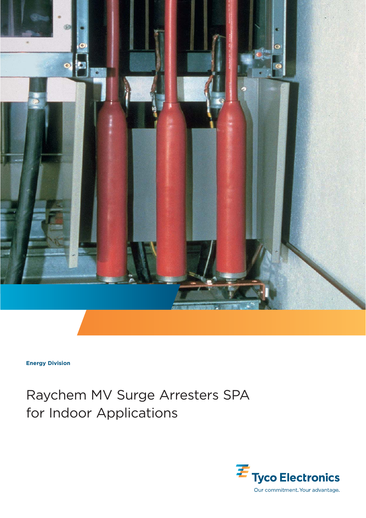

**Energy Division**

# Raychem MV Surge Arresters SPA for Indoor Applications